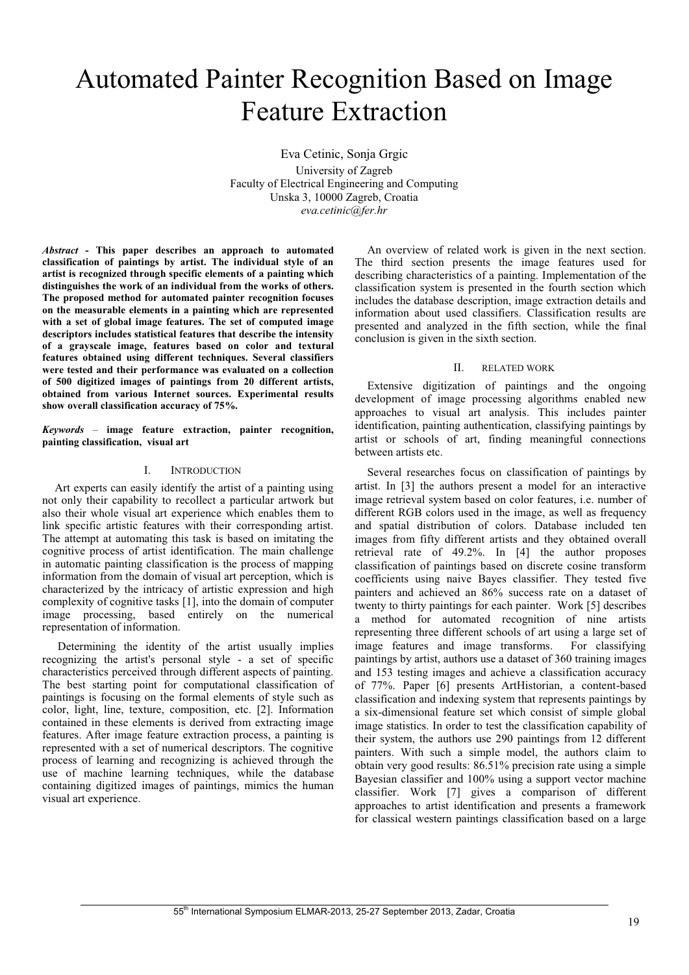# Automated Painter Recognition Based on Image Feature Extraction

Eva Cetinic, Sonja Grgic University of Zagreb Faculty of Electrical Engineering and Computing Unska 3, 10000 Zagreb, Croatia *eva.cetinic@fer.hr* 

*Abstract* **- This paper describes an approach to automated classification of paintings by artist. The individual style of an artist is recognized through specific elements of a painting which distinguishes the work of an individual from the works of others. The proposed method for automated painter recognition focuses on the measurable elements in a painting which are represented with a set of global image features. The set of computed image descriptors includes statistical features that describe the intensity of a grayscale image, features based on color and textural features obtained using different techniques. Several classifiers were tested and their performance was evaluated on a collection of 500 digitized images of paintings from 20 different artists, obtained from various Internet sources. Experimental results show overall classification accuracy of 75%.** 

*Keywords* – **image feature extraction, painter recognition, painting classification, visual art**

#### I. INTRODUCTION

Art experts can easily identify the artist of a painting using not only their capability to recollect a particular artwork but also their whole visual art experience which enables them to link specific artistic features with their corresponding artist. The attempt at automating this task is based on imitating the cognitive process of artist identification. The main challenge in automatic painting classification is the process of mapping information from the domain of visual art perception, which is characterized by the intricacy of artistic expression and high complexity of cognitive tasks [1], into the domain of computer image processing, based entirely on the numerical representation of information.

 Determining the identity of the artist usually implies recognizing the artist's personal style - a set of specific characteristics perceived through different aspects of painting. The best starting point for computational classification of paintings is focusing on the formal elements of style such as color, light, line, texture, composition, etc. [2]. Information contained in these elements is derived from extracting image features. After image feature extraction process, a painting is represented with a set of numerical descriptors. The cognitive process of learning and recognizing is achieved through the use of machine learning techniques, while the database containing digitized images of paintings, mimics the human visual art experience.

An overview of related work is given in the next section. The third section presents the image features used for describing characteristics of a painting. Implementation of the classification system is presented in the fourth section which includes the database description, image extraction details and information about used classifiers. Classification results are presented and analyzed in the fifth section, while the final conclusion is given in the sixth section.

#### II. RELATED WORK

Extensive digitization of paintings and the ongoing development of image processing algorithms enabled new approaches to visual art analysis. This includes painter identification, painting authentication, classifying paintings by artist or schools of art, finding meaningful connections between artists etc.

Several researches focus on classification of paintings by artist. In [3] the authors present a model for an interactive image retrieval system based on color features, i.e. number of different RGB colors used in the image, as well as frequency and spatial distribution of colors. Database included ten images from fifty different artists and they obtained overall retrieval rate of 49.2%. In [4] the author proposes classification of paintings based on discrete cosine transform coefficients using naive Bayes classifier. They tested five painters and achieved an 86% success rate on a dataset of twenty to thirty paintings for each painter. Work [5] describes a method for automated recognition of nine artists representing three different schools of art using a large set of image features and image transforms. For classifying paintings by artist, authors use a dataset of 360 training images and 153 testing images and achieve a classification accuracy of 77%. Paper [6] presents ArtHistorian, a content-based classification and indexing system that represents paintings by a six-dimensional feature set which consist of simple global image statistics. In order to test the classification capability of their system, the authors use 290 paintings from 12 different painters. With such a simple model, the authors claim to obtain very good results: 86.51% precision rate using a simple Bayesian classifier and 100% using a support vector machine classifier. Work [7] gives a comparison of different approaches to artist identification and presents a framework for classical western paintings classification based on a large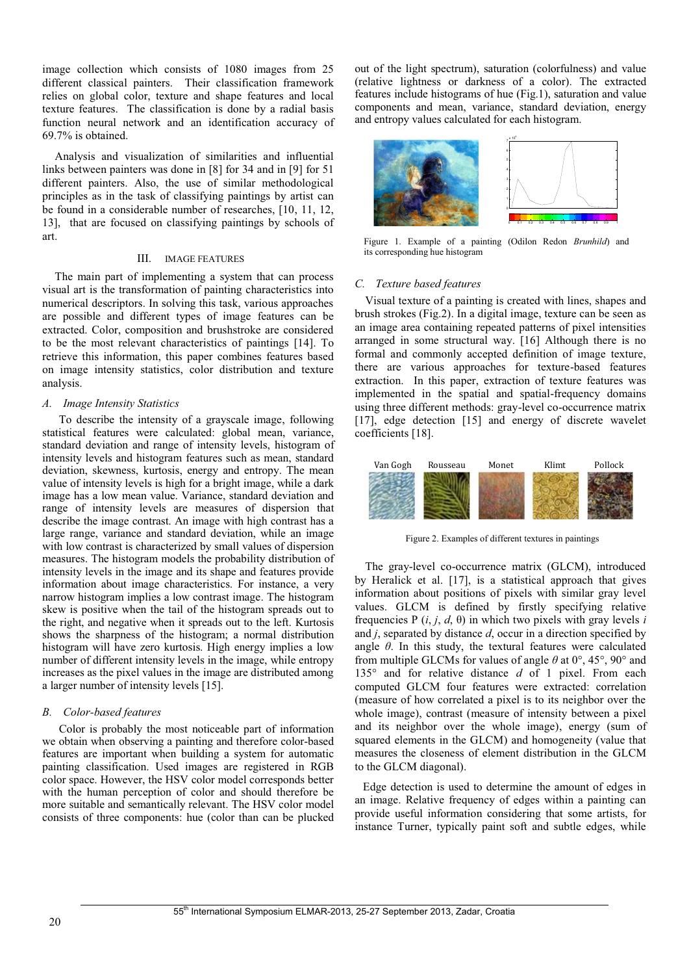image collection which consists of 1080 images from 25 different classical painters. Their classification framework relies on global color, texture and shape features and local texture features. The classification is done by a radial basis function neural network and an identification accuracy of 69.7% is obtained.

Analysis and visualization of similarities and influential links between painters was done in [8] for 34 and in [9] for 51 different painters. Also, the use of similar methodological principles as in the task of classifying paintings by artist can be found in a considerable number of researches, [10, 11, 12, 13], that are focused on classifying paintings by schools of art.

# III. IMAGE FEATURES

The main part of implementing a system that can process visual art is the transformation of painting characteristics into numerical descriptors. In solving this task, various approaches are possible and different types of image features can be extracted. Color, composition and brushstroke are considered to be the most relevant characteristics of paintings [14]. To retrieve this information, this paper combines features based on image intensity statistics, color distribution and texture analysis.

## *A. Image Intensity Statistics*

To describe the intensity of a grayscale image, following statistical features were calculated: global mean, variance, standard deviation and range of intensity levels, histogram of intensity levels and histogram features such as mean, standard deviation, skewness, kurtosis, energy and entropy. The mean value of intensity levels is high for a bright image, while a dark image has a low mean value. Variance, standard deviation and range of intensity levels are measures of dispersion that describe the image contrast. An image with high contrast has a large range, variance and standard deviation, while an image with low contrast is characterized by small values of dispersion measures. The histogram models the probability distribution of intensity levels in the image and its shape and features provide information about image characteristics. For instance, a very narrow histogram implies a low contrast image. The histogram skew is positive when the tail of the histogram spreads out to the right, and negative when it spreads out to the left. Kurtosis shows the sharpness of the histogram; a normal distribution histogram will have zero kurtosis. High energy implies a low number of different intensity levels in the image, while entropy increases as the pixel values in the image are distributed among a larger number of intensity levels [15].

## *B. Color-based features*

Color is probably the most noticeable part of information we obtain when observing a painting and therefore color-based features are important when building a system for automatic painting classification. Used images are registered in RGB color space. However, the HSV color model corresponds better with the human perception of color and should therefore be more suitable and semantically relevant. The HSV color model consists of three components: hue (color than can be plucked out of the light spectrum), saturation (colorfulness) and value (relative lightness or darkness of a color). The extracted features include histograms of hue (Fig.1), saturation and value components and mean, variance, standard deviation, energy and entropy values calculated for each histogram.



Figure 1. Example of a painting (Odilon Redon *Brunhild*) and its corresponding hue histogram

## *C. Texture based features*

Visual texture of a painting is created with lines, shapes and brush strokes (Fig.2). In a digital image, texture can be seen as an image area containing repeated patterns of pixel intensities arranged in some structural way. [16] Although there is no formal and commonly accepted definition of image texture, there are various approaches for texture-based features extraction. In this paper, extraction of texture features was implemented in the spatial and spatial-frequency domains using three different methods: gray-level co-occurrence matrix [17], edge detection [15] and energy of discrete wavelet coefficients [18].



Figure 2. Examples of different textures in paintings

The gray-level co-occurrence matrix (GLCM), introduced by Heralick et al. [17], is a statistical approach that gives information about positions of pixels with similar gray level values. GLCM is defined by firstly specifying relative frequencies  $P(i, j, d, \theta)$  in which two pixels with gray levels *i* and *j*, separated by distance *d*, occur in a direction specified by angle *θ*. In this study, the textural features were calculated from multiple GLCMs for values of angle *θ* at 0°, 45°, 90° and 135° and for relative distance *d* of 1 pixel. From each computed GLCM four features were extracted: correlation (measure of how correlated a pixel is to its neighbor over the whole image), contrast (measure of intensity between a pixel and its neighbor over the whole image), energy (sum of squared elements in the GLCM) and homogeneity (value that measures the closeness of element distribution in the GLCM to the GLCM diagonal).

Edge detection is used to determine the amount of edges in an image. Relative frequency of edges within a painting can provide useful information considering that some artists, for instance Turner, typically paint soft and subtle edges, while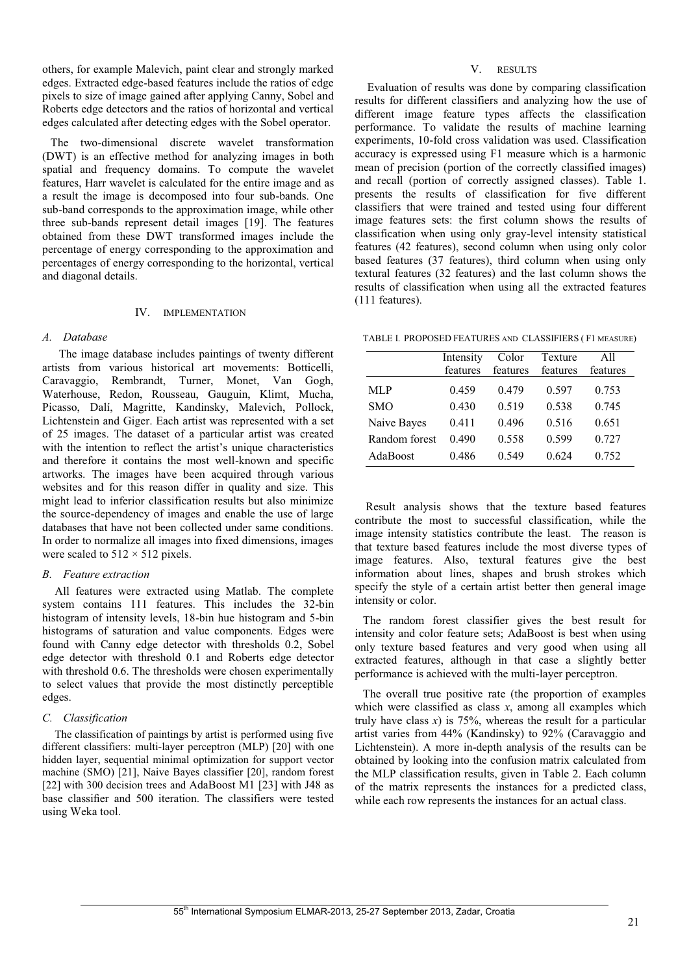others, for example Malevich, paint clear and strongly marked edges. Extracted edge-based features include the ratios of edge pixels to size of image gained after applying Canny, Sobel and Roberts edge detectors and the ratios of horizontal and vertical edges calculated after detecting edges with the Sobel operator.

The two-dimensional discrete wavelet transformation (DWT) is an effective method for analyzing images in both spatial and frequency domains. To compute the wavelet features, Harr wavelet is calculated for the entire image and as a result the image is decomposed into four sub-bands. One sub-band corresponds to the approximation image, while other three sub-bands represent detail images [19]. The features obtained from these DWT transformed images include the percentage of energy corresponding to the approximation and percentages of energy corresponding to the horizontal, vertical and diagonal details.

## IV. IMPLEMENTATION

## *A. Database*

The image database includes paintings of twenty different artists from various historical art movements: Botticelli, Caravaggio, Rembrandt, Turner, Monet, Van Gogh, Waterhouse, Redon, Rousseau, Gauguin, Klimt, Mucha, Picasso, Dalí, Magritte, Kandinsky, Malevich, Pollock, Lichtenstein and Giger. Each artist was represented with a set of 25 images. The dataset of a particular artist was created with the intention to reflect the artist's unique characteristics and therefore it contains the most well-known and specific artworks. The images have been acquired through various websites and for this reason differ in quality and size. This might lead to inferior classification results but also minimize the source-dependency of images and enable the use of large databases that have not been collected under same conditions. In order to normalize all images into fixed dimensions, images were scaled to  $512 \times 512$  pixels.

# *B. Feature extraction*

All features were extracted using Matlab. The complete system contains 111 features. This includes the 32-bin histogram of intensity levels, 18-bin hue histogram and 5-bin histograms of saturation and value components. Edges were found with Canny edge detector with thresholds 0.2, Sobel edge detector with threshold 0.1 and Roberts edge detector with threshold 0.6. The thresholds were chosen experimentally to select values that provide the most distinctly perceptible edges.

## *C. Classification*

The classification of paintings by artist is performed using five different classifiers: multi-layer perceptron (MLP) [20] with one hidden layer, sequential minimal optimization for support vector machine (SMO) [21], Naive Bayes classifier [20], random forest [22] with 300 decision trees and AdaBoost M1 [23] with J48 as base classifier and 500 iteration. The classifiers were tested using Weka tool.

## V. RESULTS

Evaluation of results was done by comparing classification results for different classifiers and analyzing how the use of different image feature types affects the classification performance. To validate the results of machine learning experiments, 10-fold cross validation was used. Classification accuracy is expressed using F1 measure which is a harmonic mean of precision (portion of the correctly classified images) and recall (portion of correctly assigned classes). Table 1. presents the results of classification for five different classifiers that were trained and tested using four different image features sets: the first column shows the results of classification when using only gray-level intensity statistical features (42 features), second column when using only color based features (37 features), third column when using only textural features (32 features) and the last column shows the results of classification when using all the extracted features (111 features).

TABLE I. PROPOSED FEATURES AND CLASSIFIERS ( F1 MEASURE)

|               | Intensity<br>features | Color<br>features | Texture<br>features | A11<br>features |
|---------------|-----------------------|-------------------|---------------------|-----------------|
| <b>MLP</b>    | 0.459                 | 0.479             | 0.597               | 0.753           |
| <b>SMO</b>    | 0.430                 | 0.519             | 0.538               | 0.745           |
| Naive Bayes   | 0.411                 | 0.496             | 0.516               | 0.651           |
| Random forest | 0.490                 | 0.558             | 0.599               | 0.727           |
| AdaBoost      | 0.486                 | 0.549             | 0.624               | 0.752           |

 Result analysis shows that the texture based features contribute the most to successful classification, while the image intensity statistics contribute the least. The reason is that texture based features include the most diverse types of image features. Also, textural features give the best information about lines, shapes and brush strokes which specify the style of a certain artist better then general image intensity or color.

The random forest classifier gives the best result for intensity and color feature sets; AdaBoost is best when using only texture based features and very good when using all extracted features, although in that case a slightly better performance is achieved with the multi-layer perceptron.

The overall true positive rate (the proportion of examples which were classified as class *x*, among all examples which truly have class  $x$ ) is 75%, whereas the result for a particular artist varies from 44% (Kandinsky) to 92% (Caravaggio and Lichtenstein). A more in-depth analysis of the results can be obtained by looking into the confusion matrix calculated from the MLP classification results, given in Table 2. Each column of the matrix represents the instances for a predicted class, while each row represents the instances for an actual class.